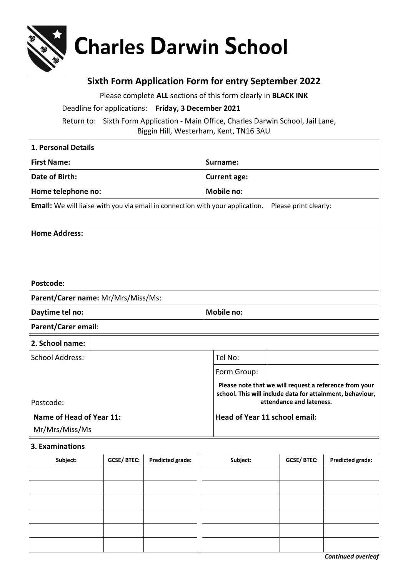

## **Sixth Form Application Form for entry September 2022**

Please complete **ALL** sections of this form clearly in **BLACK INK** Deadline for applications: **Friday, 3 December 2021** Return to: Sixth Form Application - Main Office, Charles Darwin School, Jail Lane, Biggin Hill, Westerham, Kent, TN16 3AU

| 1. Personal Details                                                                                           |                   |                         |                   |                                                                                                                                                 |                   |                         |  |  |
|---------------------------------------------------------------------------------------------------------------|-------------------|-------------------------|-------------------|-------------------------------------------------------------------------------------------------------------------------------------------------|-------------------|-------------------------|--|--|
| <b>First Name:</b>                                                                                            |                   |                         |                   | Surname:                                                                                                                                        |                   |                         |  |  |
| Date of Birth:                                                                                                |                   |                         |                   | <b>Current age:</b>                                                                                                                             |                   |                         |  |  |
| Home telephone no:                                                                                            |                   |                         |                   | <b>Mobile no:</b>                                                                                                                               |                   |                         |  |  |
| <b>Email:</b> We will liaise with you via email in connection with your application.<br>Please print clearly: |                   |                         |                   |                                                                                                                                                 |                   |                         |  |  |
| <b>Home Address:</b>                                                                                          |                   |                         |                   |                                                                                                                                                 |                   |                         |  |  |
| Postcode:                                                                                                     |                   |                         |                   |                                                                                                                                                 |                   |                         |  |  |
| Parent/Carer name: Mr/Mrs/Miss/Ms:                                                                            |                   |                         |                   |                                                                                                                                                 |                   |                         |  |  |
| Daytime tel no:                                                                                               |                   |                         | <b>Mobile no:</b> |                                                                                                                                                 |                   |                         |  |  |
| Parent/Carer email:                                                                                           |                   |                         |                   |                                                                                                                                                 |                   |                         |  |  |
| 2. School name:                                                                                               |                   |                         |                   |                                                                                                                                                 |                   |                         |  |  |
| <b>School Address:</b>                                                                                        |                   |                         | Tel No:           |                                                                                                                                                 |                   |                         |  |  |
|                                                                                                               |                   |                         |                   | Form Group:                                                                                                                                     |                   |                         |  |  |
| Postcode:                                                                                                     |                   |                         |                   | Please note that we will request a reference from your<br>school. This will include data for attainment, behaviour,<br>attendance and lateness. |                   |                         |  |  |
| Name of Head of Year 11:                                                                                      |                   |                         |                   | Head of Year 11 school email:                                                                                                                   |                   |                         |  |  |
| Mr/Mrs/Miss/Ms                                                                                                |                   |                         |                   |                                                                                                                                                 |                   |                         |  |  |
| 3. Examinations                                                                                               |                   |                         |                   |                                                                                                                                                 |                   |                         |  |  |
| Subject:                                                                                                      | <b>GCSE/BTEC:</b> | <b>Predicted grade:</b> |                   | Subject:                                                                                                                                        | <b>GCSE/BTEC:</b> | <b>Predicted grade:</b> |  |  |
|                                                                                                               |                   |                         |                   |                                                                                                                                                 |                   |                         |  |  |
|                                                                                                               |                   |                         |                   |                                                                                                                                                 |                   |                         |  |  |
|                                                                                                               |                   |                         |                   |                                                                                                                                                 |                   |                         |  |  |
|                                                                                                               |                   |                         |                   |                                                                                                                                                 |                   |                         |  |  |
|                                                                                                               |                   |                         |                   |                                                                                                                                                 |                   |                         |  |  |
|                                                                                                               |                   |                         |                   |                                                                                                                                                 |                   |                         |  |  |

*Continued overleaf*